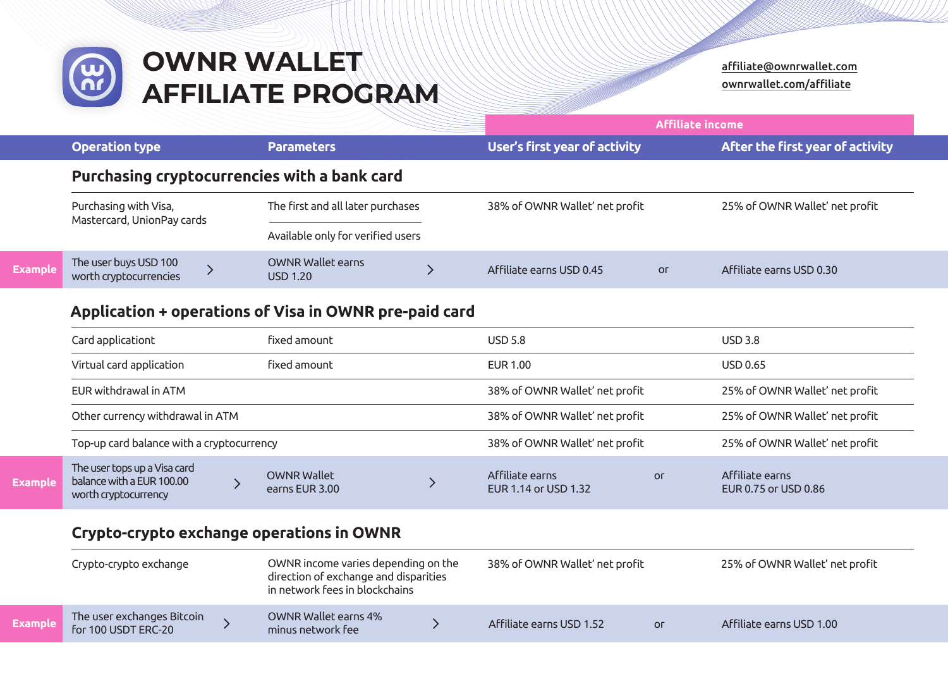

|                                                     |                                                 |                                              | <b>Affiliate income</b> |                                |                |                                  |  |
|-----------------------------------------------------|-------------------------------------------------|----------------------------------------------|-------------------------|--------------------------------|----------------|----------------------------------|--|
|                                                     | <b>Operation type</b>                           | <b>Parameters</b>                            |                         | User's first year of activity  |                | After the first year of activity |  |
|                                                     |                                                 | Purchasing cryptocurrencies with a bank card |                         |                                |                |                                  |  |
| Purchasing with Visa,<br>Mastercard, UnionPay cards |                                                 | The first and all later purchases            |                         | 38% of OWNR Wallet' net profit |                | 25% of OWNR Wallet' net profit   |  |
|                                                     |                                                 | Available only for verified users            |                         |                                |                |                                  |  |
|                                                     | The user buys USD 100<br>worth cryptocurrencies | <b>OWNR Wallet earns</b><br><b>USD 1.20</b>  |                         | Affiliate earns USD 0.45       | O <sub>0</sub> | Affiliate earns USD 0.30         |  |

## **Application + operations of Visa in OWNR pre-paid card**

**Exam** 

|                          | fixed amount<br>Card applicationt                                                 |                                      |                                | <b>USD 5.8</b>                          |                                                                  | <b>USD 3.8</b>                          |                                |
|--------------------------|-----------------------------------------------------------------------------------|--------------------------------------|--------------------------------|-----------------------------------------|------------------------------------------------------------------|-----------------------------------------|--------------------------------|
| Virtual card application |                                                                                   | fixed amount                         |                                | EUR 1.00                                |                                                                  | <b>USD 0.65</b>                         |                                |
|                          | EUR withdrawal in ATM                                                             |                                      | 38% of OWNR Wallet' net profit |                                         | 25% of OWNR Wallet' net profit<br>25% of OWNR Wallet' net profit |                                         |                                |
|                          | Other currency withdrawal in ATM                                                  |                                      |                                |                                         |                                                                  |                                         | 38% of OWNR Wallet' net profit |
|                          | Top-up card balance with a cryptocurrency                                         |                                      |                                | 38% of OWNR Wallet' net profit          |                                                                  | 25% of OWNR Wallet' net profit          |                                |
| Example                  | The user tops up a Visa card<br>balance with a EUR 100.00<br>worth cryptocurrency | <b>OWNR Wallet</b><br>earns EUR 3.00 |                                | Affiliate earns<br>EUR 1.14 or USD 1.32 | Оr                                                               | Affiliate earns<br>EUR 0.75 or USD 0.86 |                                |

## **Crypto-crypto exchange operations in OWNR**

|                | Crypto-crypto exchange                            |  | OWNR income varies depending on the<br>direction of exchange and disparities<br>in network fees in blockchains |  | 38% of OWNR Wallet' net profit |                | 25% of OWNR Wallet' net profit |  |
|----------------|---------------------------------------------------|--|----------------------------------------------------------------------------------------------------------------|--|--------------------------------|----------------|--------------------------------|--|
| <b>Example</b> | The user exchanges Bitcoin<br>for 100 USDT ERC-20 |  | OWNR Wallet earns 4%<br>minus network fee                                                                      |  | Affiliate earns USD 1.52       | O <sub>1</sub> | Affiliate earns USD 1.00       |  |